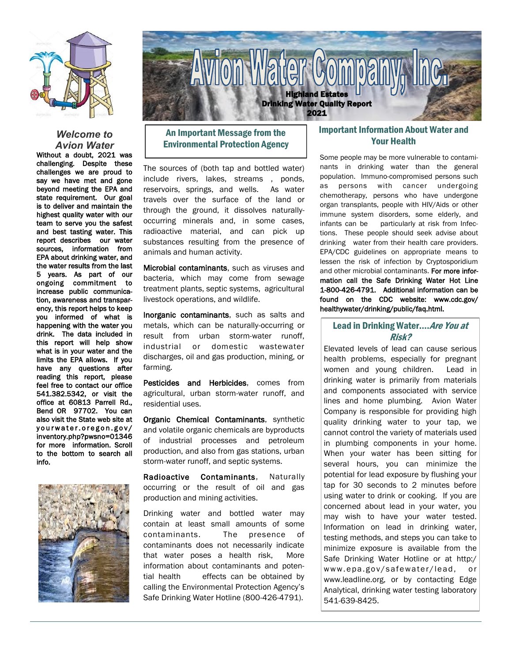

#### *Welcome to Avion Water*

Without a doubt, 2021 was challenging. Despite these challenges we are proud to say we have met and gone beyond meeting the EPA and state requirement. Our goal is to deliver and maintain the highest quality water with our team to serve you the safest and best tasting water. This report describes our water sources, information from EPA about drinking water, and the water results from the last 5 years. As part of our ongoing commitment to increase public communication, awareness and transparency, this report helps to keep you informed of what is happening with the water you drink. The data included in this report will help show what is in your water and the limits the EPA allows. If you have any questions after reading this report, please feel free to contact our office 541.382.5342, or visit the office at 60813 Parrell Rd., Bend OR 97702. You can also visit the State web site at yourwater.oregon.gov/ inventory.php?pwsno=01346 for more information. Scroll to the bottom to search all info.





# An Important Message from the Environmental Protection Agency

The sources of (both tap and bottled water) include rivers, lakes, streams , ponds, reservoirs, springs, and wells. As water travels over the surface of the land or through the ground, it dissolves naturallyoccurring minerals and, in some cases, radioactive material, and can pick up substances resulting from the presence of animals and human activity.

Microbial contaminants, such as viruses and bacteria, which may come from sewage treatment plants, septic systems, agricultural livestock operations, and wildlife.

Inorganic contaminants, such as salts and metals, which can be naturally-occurring or result from urban storm-water runoff, industrial or domestic wastewater discharges, oil and gas production, mining, or farming.

Pesticides and Herbicides, comes from agricultural, urban storm-water runoff, and residential uses.

Organic Chemical Contaminants, synthetic and volatile organic chemicals are byproducts of industrial processes and petroleum production, and also from gas stations, urban storm-water runoff, and septic systems.

Radioactive Contaminants, Naturally occurring or the result of oil and gas production and mining activities.

Drinking water and bottled water may contain at least small amounts of some contaminants. The presence of contaminants does not necessarily indicate that water poses a health risk, More information about contaminants and potential health effects can be obtained by calling the Environmental Protection Agency's Safe Drinking Water Hotline (800-426-4791).

## Important Information About Water and Your Health

Some people may be more vulnerable to contaminants in drinking water than the general population. Immuno-compromised persons such as persons with cancer undergoing chemotherapy, persons who have undergone organ transplants, people with HIV/Aids or other immune system disorders, some elderly, and infants can be particularly at risk from Infections. These people should seek advise about drinking water from their health care providers. EPA/CDC guidelines on appropriate means to lessen the risk of infection by Cryptosporidium and other microbial contaminants. For more information call the Safe Drinking Water Hot Line 1-800-426-4791. Additional information can be found on the CDC website: www.cdc.gov/ healthywater/drinking/public/faq.html.

### Lead in Drinking Water.... Are You at Risk?

Elevated levels of lead can cause serious health problems, especially for pregnant women and young children. Lead in drinking water is primarily from materials and components associated with service lines and home plumbing. Avion Water Company is responsible for providing high quality drinking water to your tap, we cannot control the variety of materials used in plumbing components in your home. When your water has been sitting for several hours, you can minimize the potential for lead exposure by flushing your tap for 30 seconds to 2 minutes before using water to drink or cooking. If you are concerned about lead in your water, you may wish to have your water tested. Information on lead in drinking water, testing methods, and steps you can take to minimize exposure is available from the Safe Drinking Water Hotline or at http:/ www.epa.gov/safewater/lead, or www.leadline.org, or by contacting Edge Analytical, drinking water testing laboratory 541-639-8425.